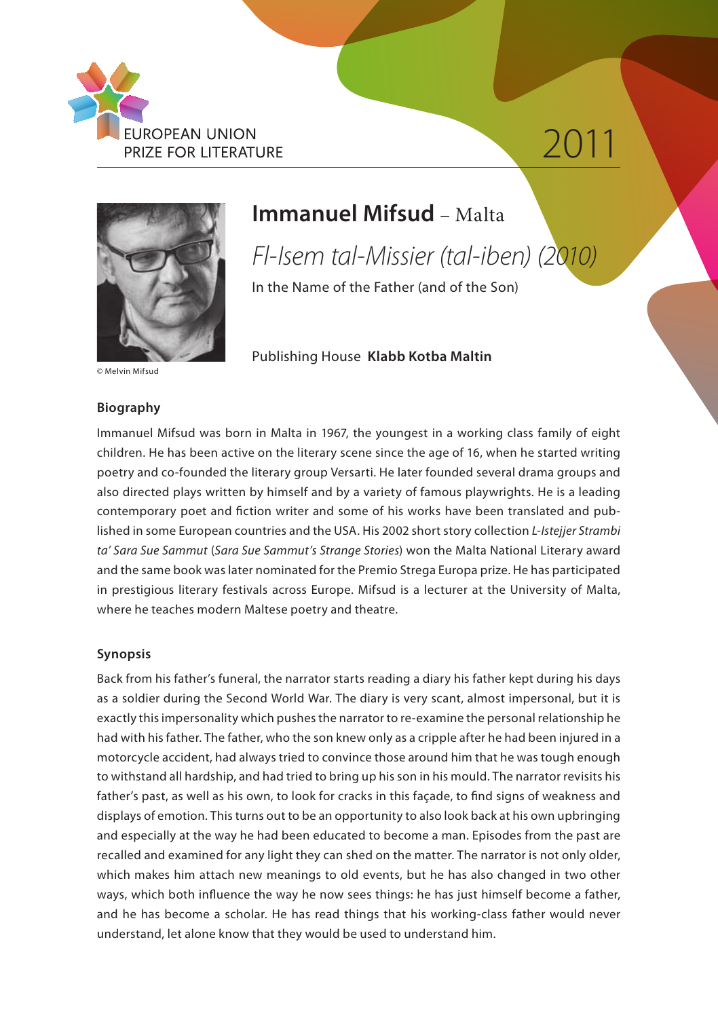

# $201$



### **Immanuel Mifsud** – Malta

*Fl-Isem tal-Missier (tal-iben) (2010)*

In the Name of the Father (and of the Son)

Publishing House **Klabb Kotba Maltin**

© Melvin Mifsud

#### **Biography**

Immanuel Mifsud was born in Malta in 1967, the youngest in a working class family of eight children. He has been active on the literary scene since the age of 16, when he started writing poetry and co-founded the literary group Versarti. He later founded several drama groups and also directed plays written by himself and by a variety of famous playwrights. He is a leading contemporary poet and fiction writer and some of his works have been translated and published in some European countries and the USA. His 2002 short story collection *L-Istejjer Strambi ta' Sara Sue Sammut* (*Sara Sue Sammut's Strange Stories*) won the Malta National Literary award and the same book was later nominated for the Premio Strega Europa prize. He has participated in prestigious literary festivals across Europe. Mifsud is a lecturer at the University of Malta, where he teaches modern Maltese poetry and theatre.

#### **Synopsis**

Back from his father's funeral, the narrator starts reading a diary his father kept during his days as a soldier during the Second World War. The diary is very scant, almost impersonal, but it is exactly this impersonality which pushes the narrator to re-examine the personal relationship he had with his father. The father, who the son knew only as a cripple after he had been injured in a motorcycle accident, had always tried to convince those around him that he was tough enough to withstand all hardship, and had tried to bring up his son in his mould. The narrator revisits his father's past, as well as his own, to look for cracks in this façade, to find signs of weakness and displays of emotion. This turns out to be an opportunity to also look back at his own upbringing and especially at the way he had been educated to become a man. Episodes from the past are recalled and examined for any light they can shed on the matter. The narrator is not only older, which makes him attach new meanings to old events, but he has also changed in two other ways, which both influence the way he now sees things: he has just himself become a father, and he has become a scholar. He has read things that his working-class father would never understand, let alone know that they would be used to understand him.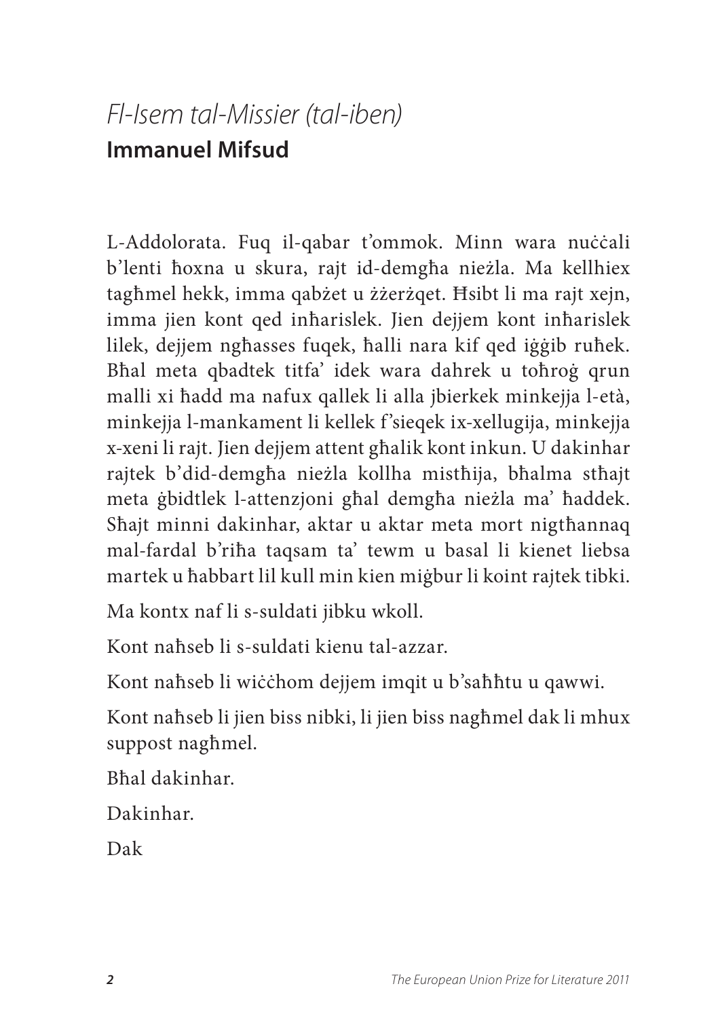## *Fl-Isem tal-Missier (tal-iben)* **Immanuel Mifsud**

L-Addolorata. Fuq il-qabar t'ommok. Minn wara nuċċali b'lenti ħoxna u skura, rajt id-demgħa nieżla. Ma kellhiex tagħmel hekk, imma qabżet u żżerżqet. Ħsibt li ma rajt xejn, imma jien kont qed inħarislek. Jien dejjem kont inħarislek lilek, dejjem ngħasses fuqek, ħalli nara kif qed iġġib ruħek. Bħal meta qbadtek titfa' idek wara dahrek u toħroġ qrun malli xi ħadd ma nafux qallek li alla jbierkek minkejja l-età, minkejja l-mankament li kellek f'sieqek ix-xellugija, minkejja x-xeni li rajt. Jien dejjem attent għalik kont inkun. U dakinhar rajtek b'did-demgħa nieżla kollha mistħija, bħalma stħajt meta ġbidtlek l-attenzjoni għal demgħa nieżla ma' ħaddek. Sħajt minni dakinhar, aktar u aktar meta mort nigtħannaq mal-fardal b'riħa taqsam ta' tewm u basal li kienet liebsa martek u ħabbart lil kull min kien miġbur li koint rajtek tibki.

Ma kontx naf li s-suldati jibku wkoll.

Kont naħseb li s-suldati kienu tal-azzar.

Kont naħseb li wiċċhom dejjem imqit u b'saħħtu u qawwi.

Kont naħseb li jien biss nibki, li jien biss nagħmel dak li mhux suppost nagħmel.

Bħal dakinhar.

Dakinhar.

Dak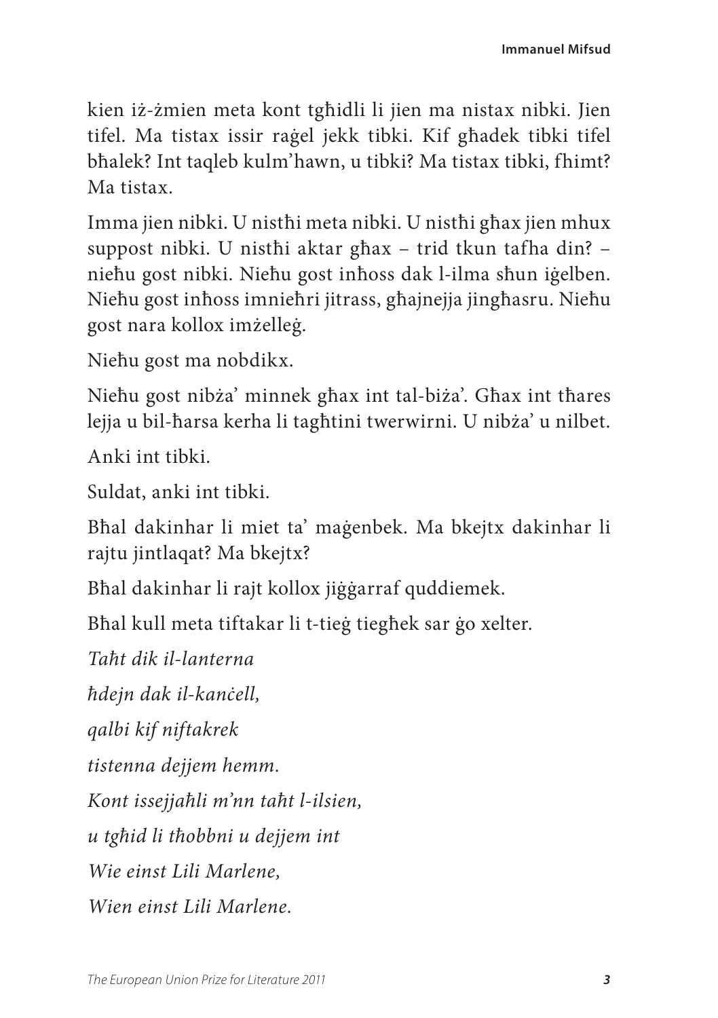kien iż-żmien meta kont tgħidli li jien ma nistax nibki. Jien tifel. Ma tistax issir raġel jekk tibki. Kif għadek tibki tifel bħalek? Int taqleb kulm'hawn, u tibki? Ma tistax tibki, fhimt? Ma tistax.

Imma jien nibki. U nistħi meta nibki. U nistħi għax jien mhux suppost nibki. U nistħi aktar għax – trid tkun tafha din? – nieħu gost nibki. Nieħu gost inħoss dak l-ilma sħun iġelben. Nieħu gost inħoss imnieħri jitrass, għajnejja jingħasru. Nieħu gost nara kollox imżelleġ.

Nieħu gost ma nobdikx.

Nieħu gost nibża' minnek għax int tal-biża'. Għax int tħares lejja u bil-ħarsa kerha li tagħtini twerwirni. U nibża' u nilbet.

Anki int tibki.

Suldat, anki int tibki.

Bħal dakinhar li miet ta' maġenbek. Ma bkejtx dakinhar li rajtu jintlaqat? Ma bkejtx?

Bħal dakinhar li rajt kollox jiġġarraf quddiemek.

Bħal kull meta tiftakar li t-tieġ tiegħek sar ġo xelter.

*Taħt dik il-lanterna*

*ħdejn dak il-kanċell,*

*qalbi kif niftakrek*

*tistenna dejjem hemm.*

*Kont issejjaħli m'nn taħt l-ilsien,*

*u tgħid li tħobbni u dejjem int*

*Wie einst Lili Marlene,*

*Wien einst Lili Marlene.*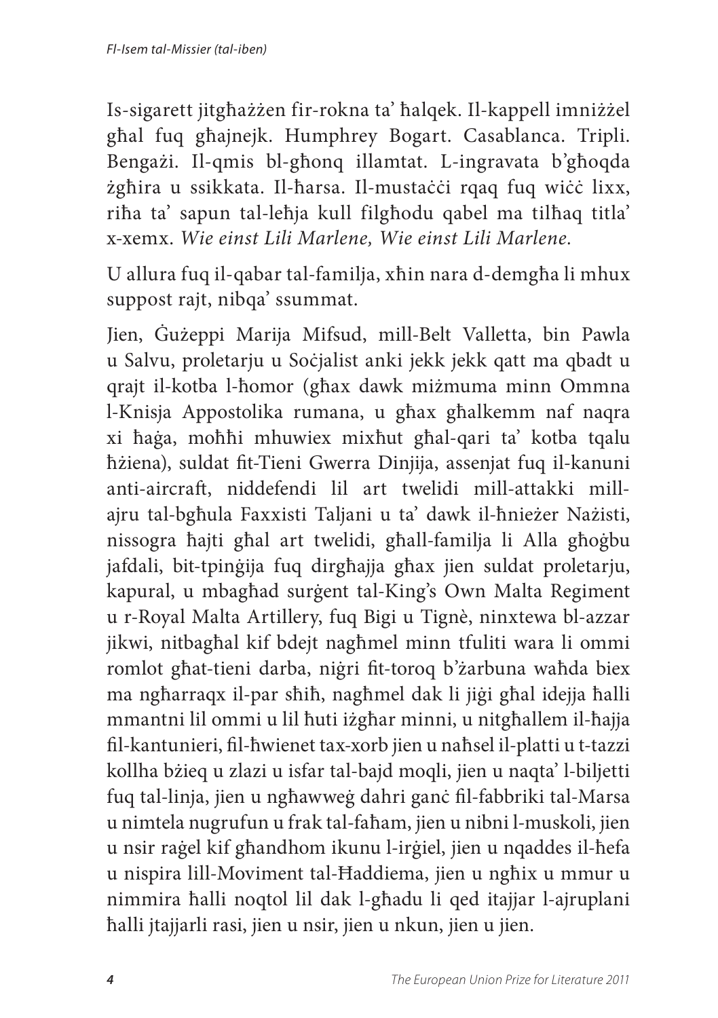Is-sigarett jitgħażżen fir-rokna ta' ħalqek. Il-kappell imniżżel għal fuq għajnejk. Humphrey Bogart. Casablanca. Tripli. Bengażi. Il-qmis bl-għonq illamtat. L-ingravata b'għoqda żgħira u ssikkata. Il-ħarsa. Il-mustaċċi rqaq fuq wiċċ lixx, riħa ta' sapun tal-leħja kull filgħodu qabel ma tilħaq titla' x-xemx. *Wie einst Lili Marlene, Wie einst Lili Marlene.*

U allura fuq il-qabar tal-familja, xħin nara d-demgħa li mhux suppost rajt, nibqa' ssummat.

Jien, Ġużeppi Marija Mifsud, mill-Belt Valletta, bin Pawla u Salvu, proletarju u Soċjalist anki jekk jekk qatt ma qbadt u qrajt il-kotba l-ħomor (għax dawk miżmuma minn Ommna l-Knisja Appostolika rumana, u għax għalkemm naf naqra xi ħaġa, moħħi mhuwiex mixħut għal-qari ta' kotba tqalu ħżiena), suldat fit-Tieni Gwerra Dinjija, assenjat fuq il-kanuni anti-aircraft, niddefendi lil art twelidi mill-attakki millajru tal-bgħula Faxxisti Taljani u ta' dawk il-ħnieżer Nażisti, nissogra ħajti għal art twelidi, għall-familja li Alla għoġbu jafdali, bit-tpinģija fug dirgħajja għax jien suldat proletarju, kapural, u mbagħad surġent tal-King's Own Malta Regiment u r-Royal Malta Artillery, fuq Bigi u Tignè, ninxtewa bl-azzar jikwi, nitbagħal kif bdejt nagħmel minn tfuliti wara li ommi romlot għat-tieni darba, niġri fit-toroq b'żarbuna waħda biex ma ngħarraqx il-par sħiħ, nagħmel dak li jiġi għal idejja ħalli mmantni lil ommi u lil ħuti iżgħar minni, u nitgħallem il-ħajja fil-kantunieri, fil-ħwienet tax-xorb jien u naħsel il-platti u t-tazzi kollha bżieq u zlazi u isfar tal-bajd moqli, jien u naqta' l-biljetti fuq tal-linja, jien u ngħawweġ dahri ganċ fil-fabbriki tal-Marsa u nimtela nugrufun u frak tal-faħam, jien u nibni l-muskoli, jien u nsir raġel kif għandhom ikunu l-irġiel, jien u nqaddes il-ħefa u nispira lill-Moviment tal-Ħaddiema, jien u ngħix u mmur u nimmira ħalli noqtol lil dak l-għadu li qed itajjar l-ajruplani ħalli jtajjarli rasi, jien u nsir, jien u nkun, jien u jien.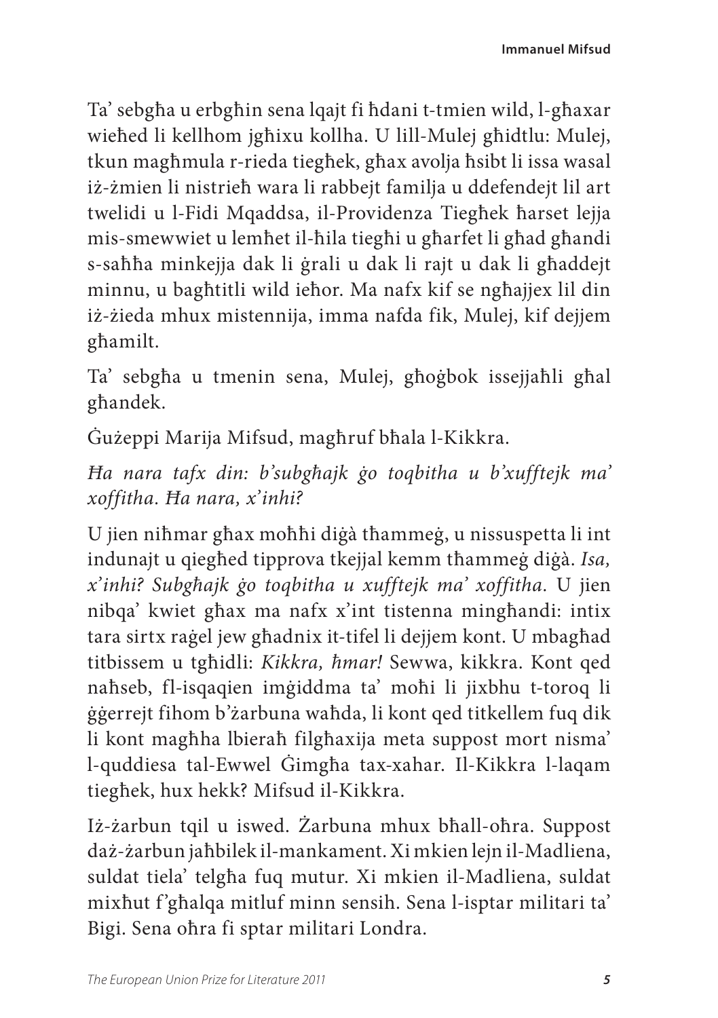Ta' sebgħa u erbgħin sena lqajt fi ħdani t-tmien wild, l-għaxar wieħed li kellhom jgħixu kollha. U lill-Mulej għidtlu: Mulej, tkun magħmula r-rieda tiegħek, għax avolja ħsibt li issa wasal iż-żmien li nistrieħ wara li rabbejt familja u ddefendejt lil art twelidi u l-Fidi Mqaddsa, il-Providenza Tiegħek ħarset lejja mis-smewwiet u lemħet il-ħila tiegħi u għarfet li għad għandi s-saħħa minkejja dak li ġrali u dak li rajt u dak li għaddejt minnu, u bagħtitli wild ieħor. Ma nafx kif se ngħajjex lil din iż-żieda mhux mistennija, imma nafda fik, Mulej, kif dejjem għamilt.

Ta' sebgħa u tmenin sena, Mulej, għoġbok issejjaħli għal għandek.

Ġużeppi Marija Mifsud, magħruf bħala l-Kikkra.

*Ħa nara tafx din: b'subgħajk ġo toqbitha u b'xufftejk ma' xoffitha. Ħa nara, x'inhi?*

U jien niħmar għax moħħi diġà tħammeġ, u nissuspetta li int indunajt u qiegħed tipprova tkejjal kemm tħammeġ diġà. *Isa, x'inhi? Subgħajk ġo toqbitha u xufftejk ma' xoffitha.* U jien nibqa' kwiet għax ma nafx x'int tistenna mingħandi: intix tara sirtx raġel jew għadnix it-tifel li dejjem kont. U mbagħad titbissem u tgħidli: *Kikkra, ħmar!* Sewwa, kikkra. Kont qed naħseb, fl-isqaqien imġiddma ta' moħi li jixbhu t-toroq li ġġerrejt fihom b'żarbuna waħda, li kont qed titkellem fuq dik li kont magħha lbieraħ filgħaxija meta suppost mort nisma' l-quddiesa tal-Ewwel Ġimgħa tax-xahar. Il-Kikkra l-laqam tiegħek, hux hekk? Mifsud il-Kikkra.

Iż-żarbun tqil u iswed. Żarbuna mhux bħall-oħra. Suppost daż-żarbun jaħbilek il-mankament. Xi mkien lejn il-Madliena, suldat tiela' telgħa fuq mutur. Xi mkien il-Madliena, suldat mixħut f'għalqa mitluf minn sensih. Sena l-isptar militari ta' Bigi. Sena oħra fi sptar militari Londra.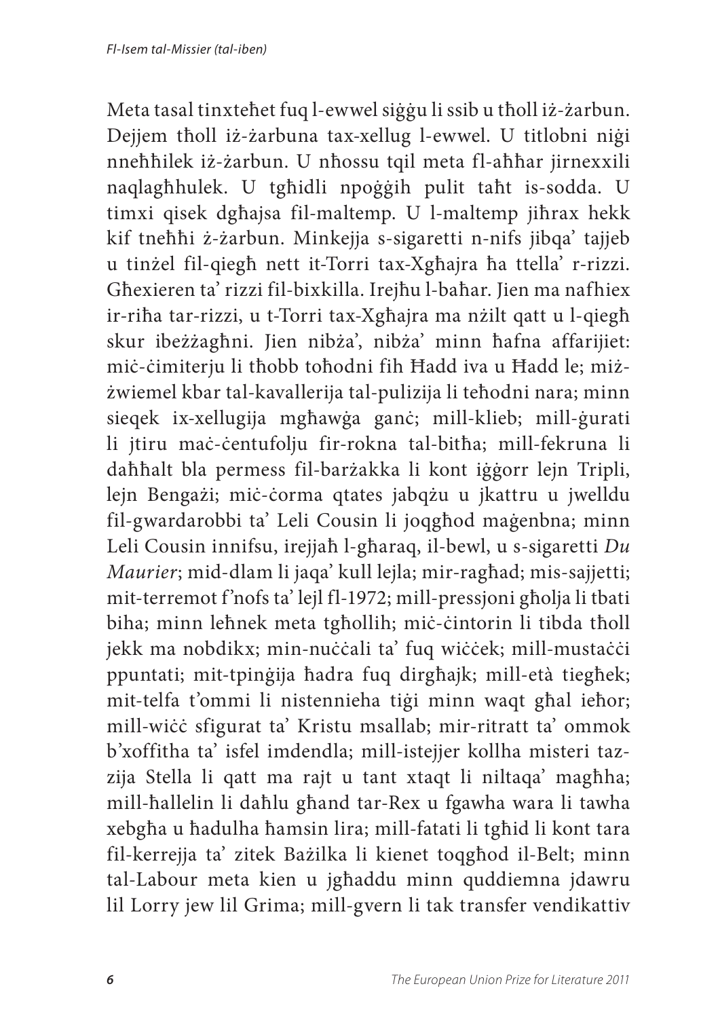Meta tasal tinxteħet fuq l-ewwel siġġu li ssib u tħoll iż-żarbun. Dejjem tħoll iż-żarbuna tax-xellug l-ewwel. U titlobni niġi nneħħilek iż-żarbun. U nħossu tqil meta fl-aħħar jirnexxili naqlagħhulek. U tgħidli npoġġih pulit taħt is-sodda. U timxi qisek dgħajsa fil-maltemp. U l-maltemp jiħrax hekk kif tneħħi ż-żarbun. Minkejja s-sigaretti n-nifs jibqa' tajjeb u tinżel fil-qiegħ nett it-Torri tax-Xgħajra ħa ttella' r-rizzi. Għexieren ta' rizzi fil-bixkilla. Irejħu l-baħar. Jien ma nafhiex ir-riħa tar-rizzi, u t-Torri tax-Xgħajra ma nżilt qatt u l-qiegħ skur ibeżżagħni. Jien nibża', nibża' minn ħafna affarijiet: miċ-ċimiterju li tħobb toħodni fih Ħadd iva u Ħadd le; miżżwiemel kbar tal-kavallerija tal-pulizija li teħodni nara; minn sieqek ix-xellugija mgħawġa ganċ; mill-klieb; mill-ġurati li jtiru maċ-ċentufolju fir-rokna tal-bitħa; mill-fekruna li daħħalt bla permess fil-barżakka li kont iġġorr lejn Tripli, lejn Bengażi; miċ-ċorma qtates jabqżu u jkattru u jwelldu fil-gwardarobbi ta' Leli Cousin li joqgħod maġenbna; minn Leli Cousin innifsu, irejjaħ l-għaraq, il-bewl, u s-sigaretti *Du Maurier*; mid-dlam li jaqa' kull lejla; mir-ragħad; mis-sajjetti; mit-terremot f'nofs ta' lejl fl-1972; mill-pressjoni għolja li tbati biha; minn leħnek meta tgħollih; miċ-ċintorin li tibda tħoll jekk ma nobdikx; min-nuċċali ta' fuq wiċċek; mill-mustaċċi ppuntati; mit-tpinġija ħadra fuq dirgħajk; mill-età tiegħek; mit-telfa t'ommi li nistennieha tiġi minn waqt għal ieħor; mill-wiċċ sfigurat ta' Kristu msallab; mir-ritratt ta' ommok b'xoffitha ta' isfel imdendla; mill-istejjer kollha misteri tazzija Stella li qatt ma rajt u tant xtaqt li niltaqa' magħha; mill-ħallelin li daħlu għand tar-Rex u fgawha wara li tawha xebgħa u ħadulha ħamsin lira; mill-fatati li tgħid li kont tara fil-kerrejja ta' zitek Bažilka li kienet togghod il-Belt; minn tal-Labour meta kien u jgħaddu minn quddiemna jdawru lil Lorry jew lil Grima; mill-gvern li tak transfer vendikattiv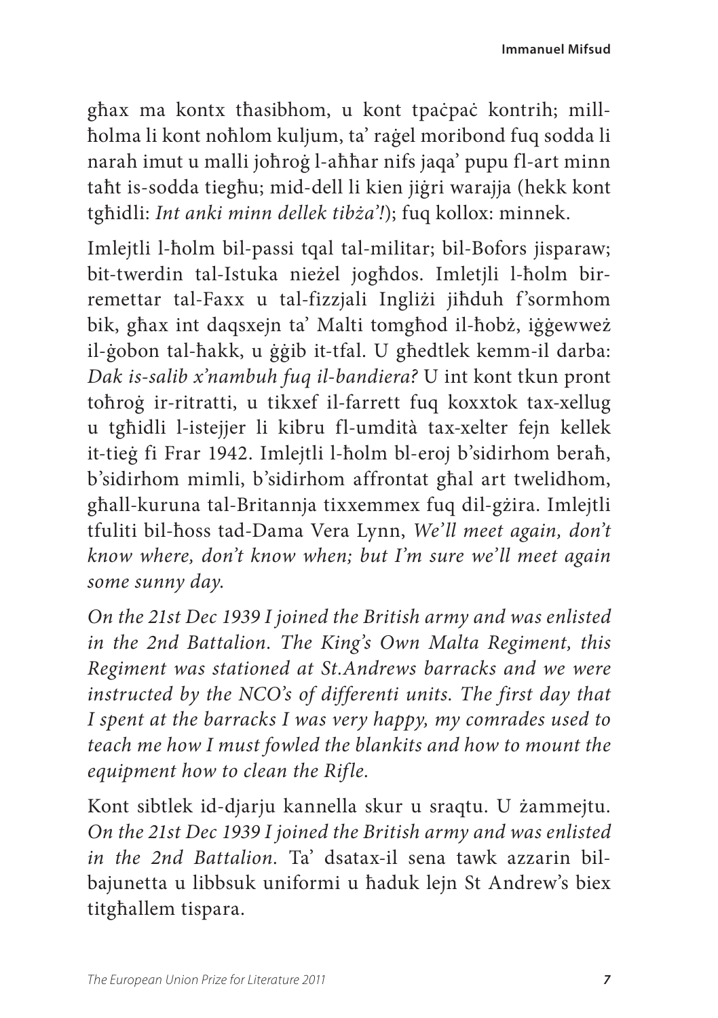ghax ma kontx thasibhom, u kont tpaċpaċ kontrih; millħolma li kont noħlom kuljum, ta' raġel moribond fuq sodda li narah imut u malli joħroġ l-aħħar nifs jaqa' pupu fl-art minn taħt is-sodda tiegħu; mid-dell li kien jiġri warajja (hekk kont tgħidli: *Int anki minn dellek tibża'!*); fuq kollox: minnek.

Imlejtli l-ħolm bil-passi tqal tal-militar; bil-Bofors jisparaw; bit-twerdin tal-Istuka nieżel jogħdos. Imletjli l-ħolm birremettar tal-Faxx u tal-fizzjali Ingliżi jiħduh f'sormhom bik, għax int daqsxejn ta' Malti tomgħod il-ħobż, iġġewweż il-ġobon tal-ħakk, u ġġib it-tfal. U għedtlek kemm-il darba: *Dak is-salib x'nambuh fuq il-bandiera?* U int kont tkun pront toħroġ ir-ritratti, u tikxef il-farrett fuq koxxtok tax-xellug u tgħidli l-istejjer li kibru fl-umdità tax-xelter fejn kellek it-tieġ fi Frar 1942. Imlejtli l-ħolm bl-eroj b'sidirhom beraħ, b'sidirhom mimli, b'sidirhom affrontat għal art twelidhom, għall-kuruna tal-Britannja tixxemmex fuq dil-gżira. Imlejtli tfuliti bil-ħoss tad-Dama Vera Lynn, *We'll meet again, don't know where, don't know when; but I'm sure we'll meet again some sunny day.*

*On the 21st Dec 1939 I joined the British army and was enlisted in the 2nd Battalion. The King's Own Malta Regiment, this Regiment was stationed at St.Andrews barracks and we were instructed by the NCO's of differenti units. The first day that I spent at the barracks I was very happy, my comrades used to teach me how I must fowled the blankits and how to mount the equipment how to clean the Rifle.*

Kont sibtlek id-djarju kannella skur u sraqtu. U żammejtu. *On the 21st Dec 1939 I joined the British army and was enlisted in the 2nd Battalion.* Ta' dsatax-il sena tawk azzarin bilbajunetta u libbsuk uniformi u ħaduk lejn St Andrew's biex titgħallem tispara.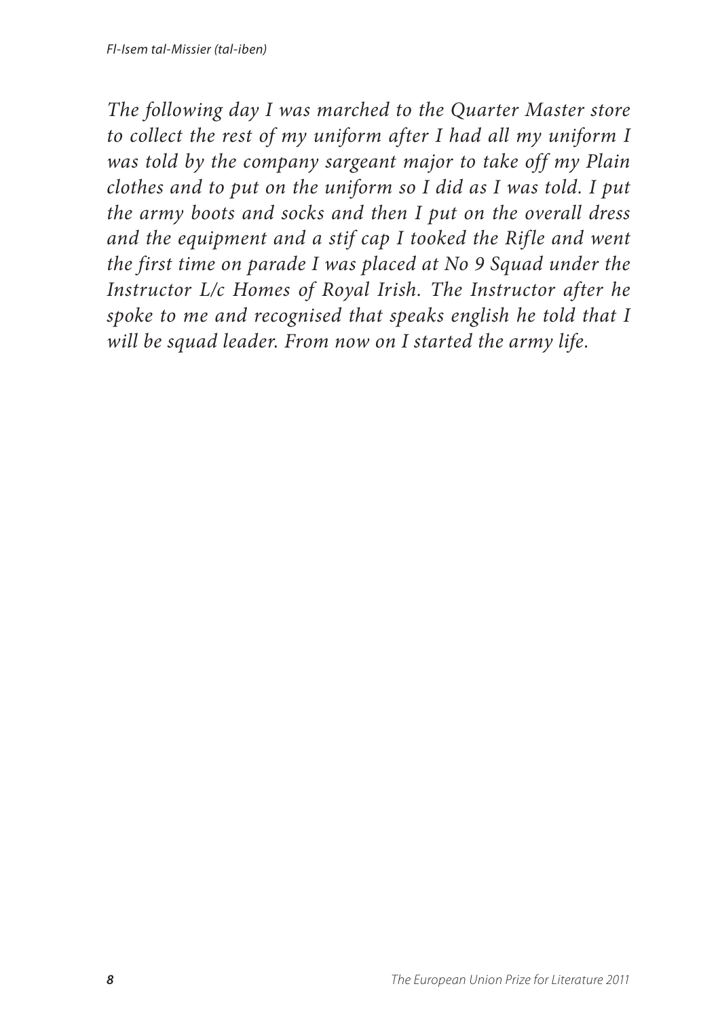*The following day I was marched to the Quarter Master store to collect the rest of my uniform after I had all my uniform I was told by the company sargeant major to take off my Plain clothes and to put on the uniform so I did as I was told. I put the army boots and socks and then I put on the overall dress and the equipment and a stif cap I tooked the Rifle and went the first time on parade I was placed at No 9 Squad under the Instructor L/c Homes of Royal Irish. The Instructor after he spoke to me and recognised that speaks english he told that I will be squad leader. From now on I started the army life.*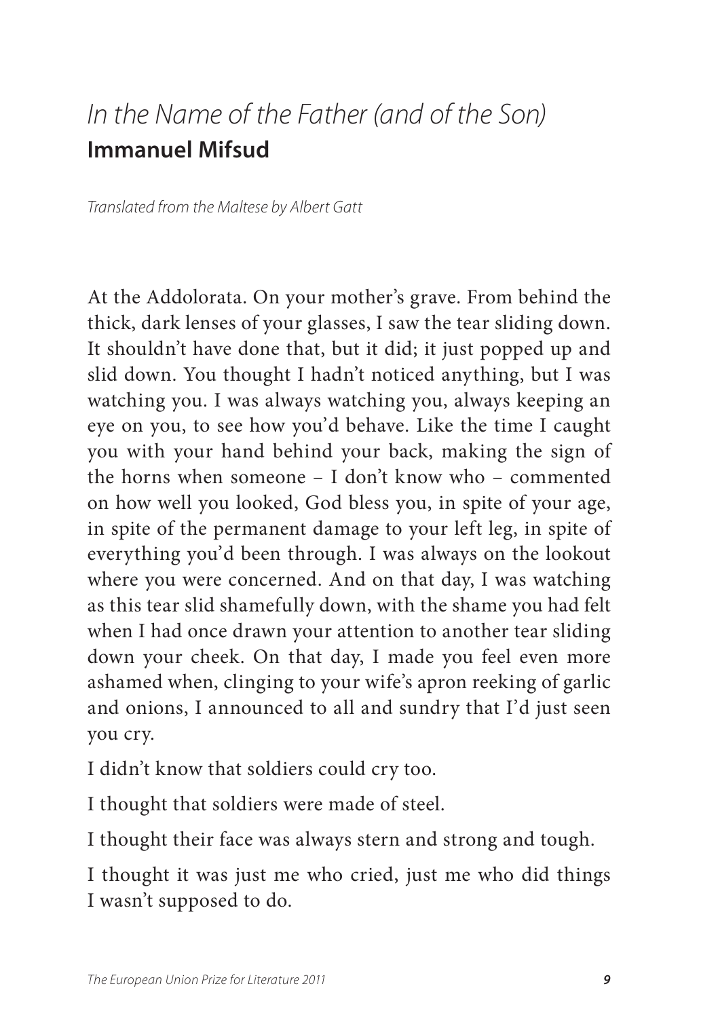# *In the Name of the Father (and of the Son)* **Immanuel Mifsud**

*Translated from the Maltese by Albert Gatt*

At the Addolorata. On your mother's grave. From behind the thick, dark lenses of your glasses, I saw the tear sliding down. It shouldn't have done that, but it did; it just popped up and slid down. You thought I hadn't noticed anything, but I was watching you. I was always watching you, always keeping an eye on you, to see how you'd behave. Like the time I caught you with your hand behind your back, making the sign of the horns when someone – I don't know who – commented on how well you looked, God bless you, in spite of your age, in spite of the permanent damage to your left leg, in spite of everything you'd been through. I was always on the lookout where you were concerned. And on that day, I was watching as this tear slid shamefully down, with the shame you had felt when I had once drawn your attention to another tear sliding down your cheek. On that day, I made you feel even more ashamed when, clinging to your wife's apron reeking of garlic and onions, I announced to all and sundry that I'd just seen you cry.

I didn't know that soldiers could cry too.

I thought that soldiers were made of steel.

I thought their face was always stern and strong and tough.

I thought it was just me who cried, just me who did things I wasn't supposed to do.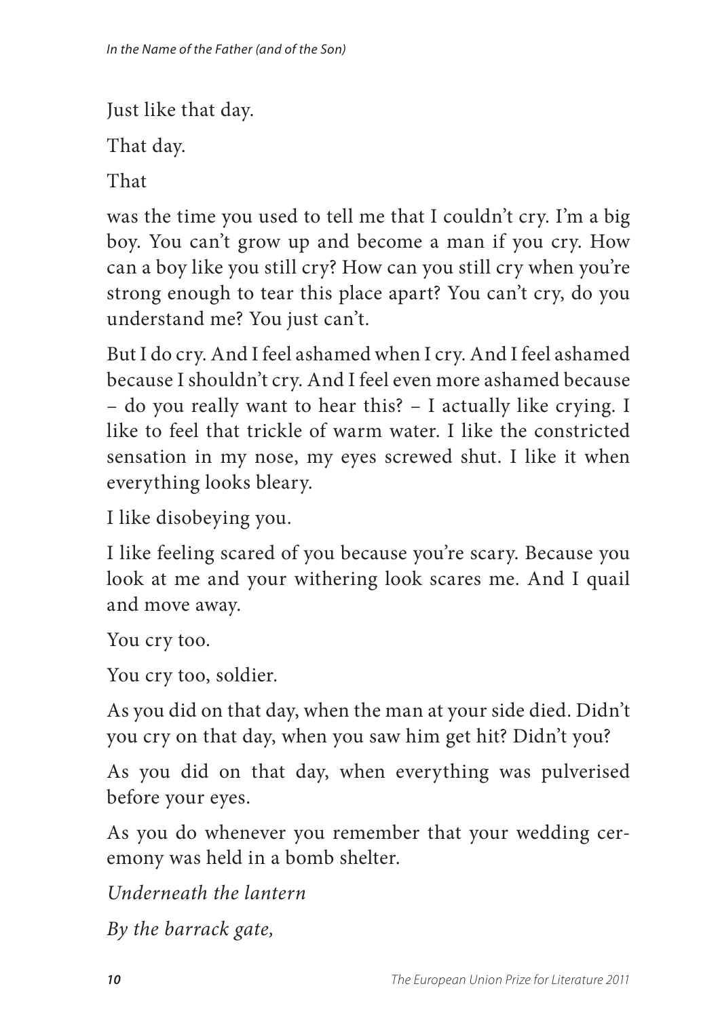Just like that day.

That day.

That

was the time you used to tell me that I couldn't cry. I'm a big boy. You can't grow up and become a man if you cry. How can a boy like you still cry? How can you still cry when you're strong enough to tear this place apart? You can't cry, do you understand me? You just can't.

But I do cry. And I feel ashamed when I cry. And I feel ashamed because I shouldn't cry. And I feel even more ashamed because – do you really want to hear this? – I actually like crying. I like to feel that trickle of warm water. I like the constricted sensation in my nose, my eyes screwed shut. I like it when everything looks bleary.

I like disobeying you.

I like feeling scared of you because you're scary. Because you look at me and your withering look scares me. And I quail and move away.

You cry too.

You cry too, soldier.

As you did on that day, when the man at your side died. Didn't you cry on that day, when you saw him get hit? Didn't you?

As you did on that day, when everything was pulverised before your eyes.

As you do whenever you remember that your wedding ceremony was held in a bomb shelter.

*Underneath the lantern*

*By the barrack gate,*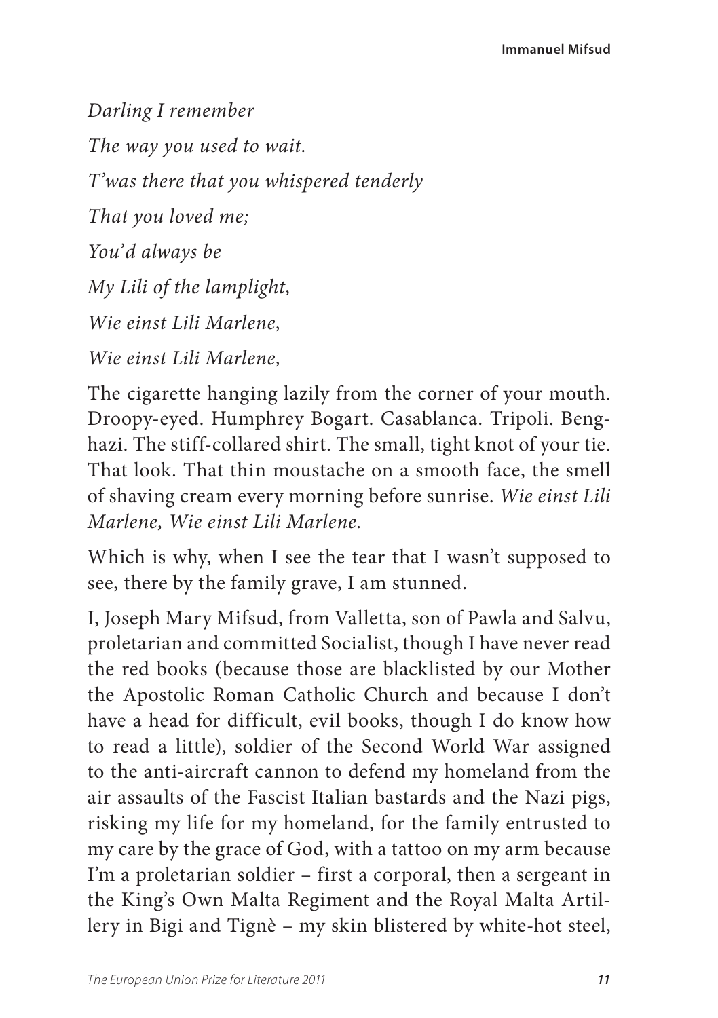*Darling I remember The way you used to wait. T'was there that you whispered tenderly That you loved me; You'd always be My Lili of the lamplight, Wie einst Lili Marlene, Wie einst Lili Marlene,*

The cigarette hanging lazily from the corner of your mouth. Droopy-eyed. Humphrey Bogart. Casablanca. Tripoli. Benghazi. The stiff-collared shirt. The small, tight knot of your tie. That look. That thin moustache on a smooth face, the smell of shaving cream every morning before sunrise. *Wie einst Lili Marlene, Wie einst Lili Marlene.*

Which is why, when I see the tear that I wasn't supposed to see, there by the family grave, I am stunned.

I, Joseph Mary Mifsud, from Valletta, son of Pawla and Salvu, proletarian and committed Socialist, though I have never read the red books (because those are blacklisted by our Mother the Apostolic Roman Catholic Church and because I don't have a head for difficult, evil books, though I do know how to read a little), soldier of the Second World War assigned to the anti-aircraft cannon to defend my homeland from the air assaults of the Fascist Italian bastards and the Nazi pigs, risking my life for my homeland, for the family entrusted to my care by the grace of God, with a tattoo on my arm because I'm a proletarian soldier – first a corporal, then a sergeant in the King's Own Malta Regiment and the Royal Malta Artillery in Bigi and Tignè – my skin blistered by white-hot steel,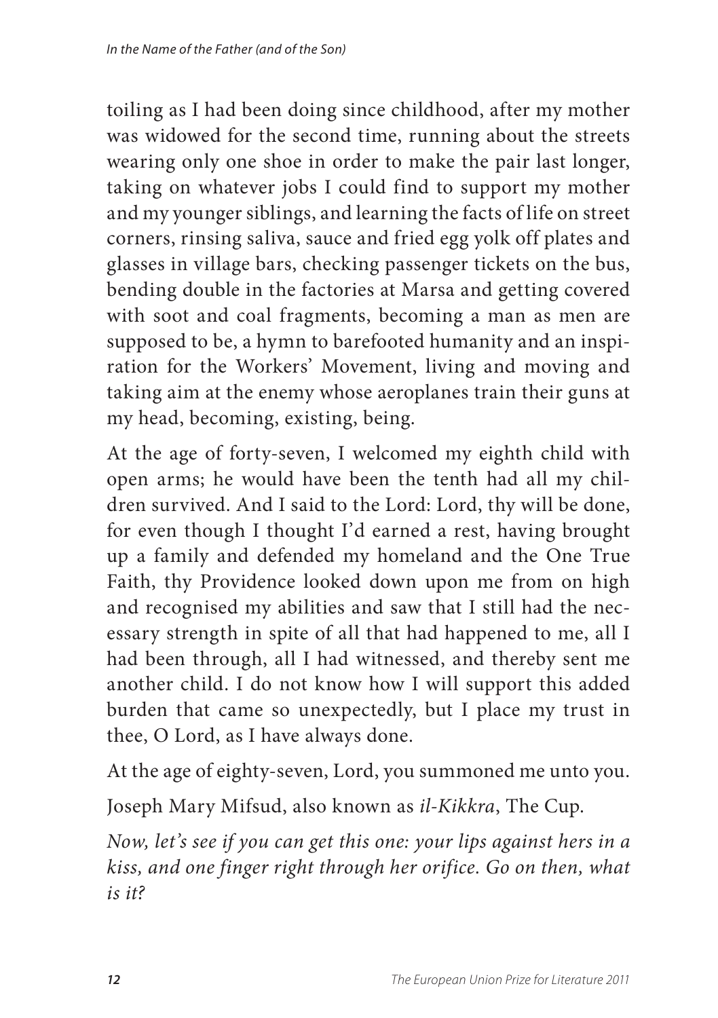toiling as I had been doing since childhood, after my mother was widowed for the second time, running about the streets wearing only one shoe in order to make the pair last longer, taking on whatever jobs I could find to support my mother and my younger siblings, and learning the facts of life on street corners, rinsing saliva, sauce and fried egg yolk off plates and glasses in village bars, checking passenger tickets on the bus, bending double in the factories at Marsa and getting covered with soot and coal fragments, becoming a man as men are supposed to be, a hymn to barefooted humanity and an inspiration for the Workers' Movement, living and moving and taking aim at the enemy whose aeroplanes train their guns at my head, becoming, existing, being.

At the age of forty-seven, I welcomed my eighth child with open arms; he would have been the tenth had all my children survived. And I said to the Lord: Lord, thy will be done, for even though I thought I'd earned a rest, having brought up a family and defended my homeland and the One True Faith, thy Providence looked down upon me from on high and recognised my abilities and saw that I still had the necessary strength in spite of all that had happened to me, all I had been through, all I had witnessed, and thereby sent me another child. I do not know how I will support this added burden that came so unexpectedly, but I place my trust in thee, O Lord, as I have always done.

At the age of eighty-seven, Lord, you summoned me unto you.

Joseph Mary Mifsud, also known as *il-Kikkra*, The Cup.

*Now, let's see if you can get this one: your lips against hers in a kiss, and one finger right through her orifice. Go on then, what is it?*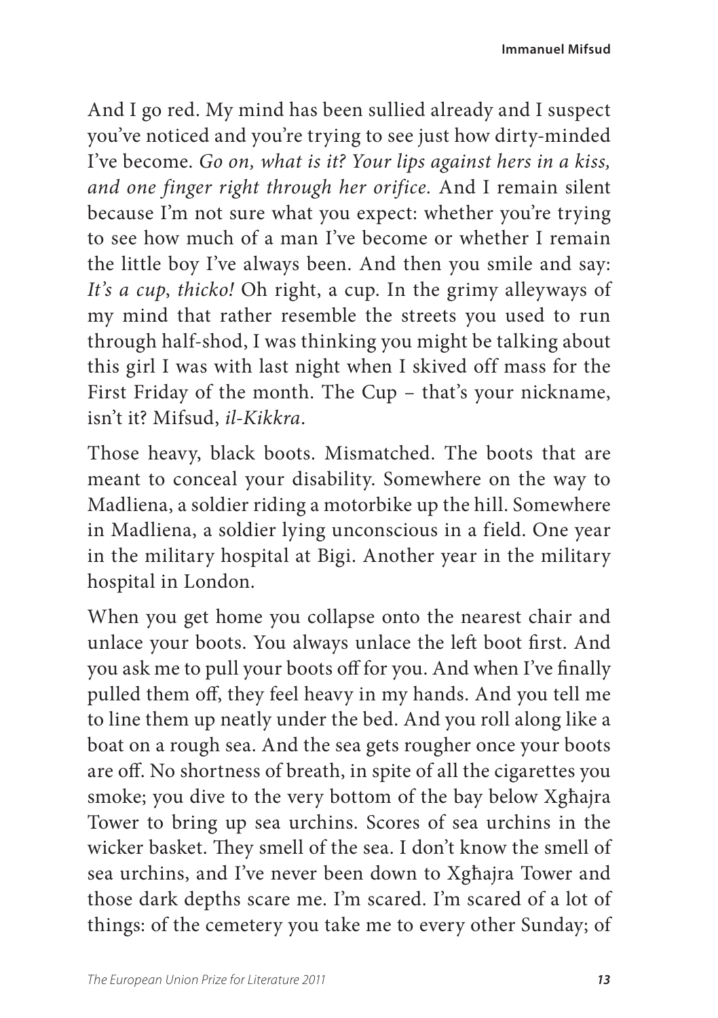And I go red. My mind has been sullied already and I suspect you've noticed and you're trying to see just how dirty-minded I've become. *Go on, what is it? Your lips against hers in a kiss, and one finger right through her orifice.* And I remain silent because I'm not sure what you expect: whether you're trying to see how much of a man I've become or whether I remain the little boy I've always been. And then you smile and say: *It's a cup*, *thicko!* Oh right, a cup. In the grimy alleyways of my mind that rather resemble the streets you used to run through half-shod, I was thinking you might be talking about this girl I was with last night when I skived off mass for the First Friday of the month. The Cup – that's your nickname, isn't it? Mifsud, *il-Kikkra*.

Those heavy, black boots. Mismatched. The boots that are meant to conceal your disability. Somewhere on the way to Madliena, a soldier riding a motorbike up the hill. Somewhere in Madliena, a soldier lying unconscious in a field. One year in the military hospital at Bigi. Another year in the military hospital in London.

When you get home you collapse onto the nearest chair and unlace your boots. You always unlace the left boot first. And you ask me to pull your boots off for you. And when I've finally pulled them off, they feel heavy in my hands. And you tell me to line them up neatly under the bed. And you roll along like a boat on a rough sea. And the sea gets rougher once your boots are off. No shortness of breath, in spite of all the cigarettes you smoke; you dive to the very bottom of the bay below Xgħajra Tower to bring up sea urchins. Scores of sea urchins in the wicker basket. They smell of the sea. I don't know the smell of sea urchins, and I've never been down to Xgħajra Tower and those dark depths scare me. I'm scared. I'm scared of a lot of things: of the cemetery you take me to every other Sunday; of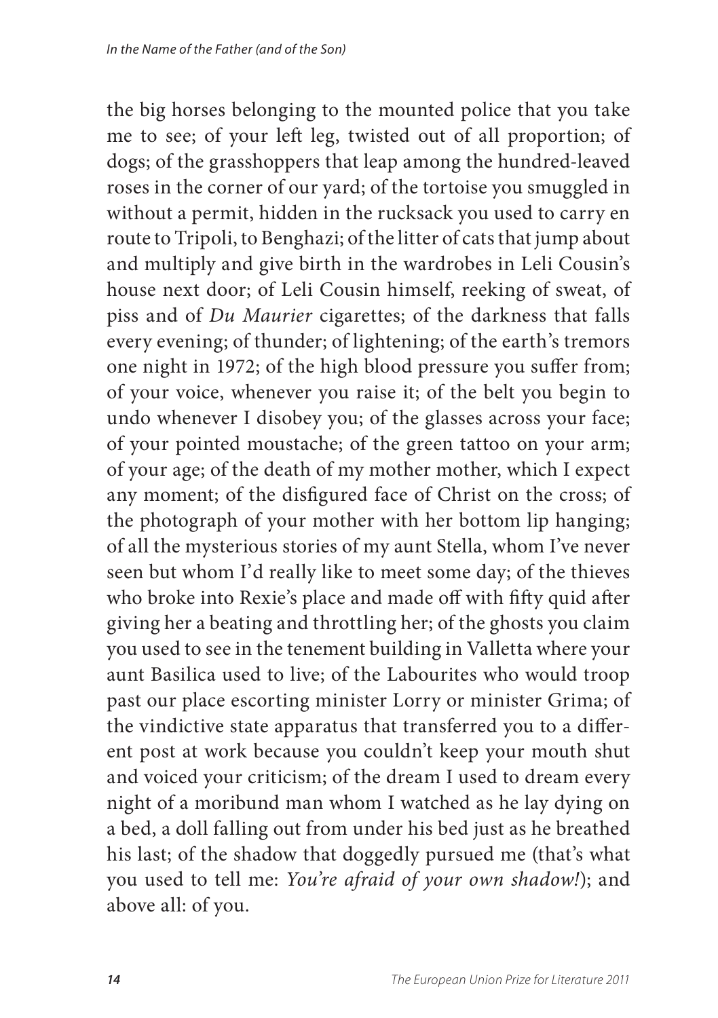the big horses belonging to the mounted police that you take me to see; of your left leg, twisted out of all proportion; of dogs; of the grasshoppers that leap among the hundred-leaved roses in the corner of our yard; of the tortoise you smuggled in without a permit, hidden in the rucksack you used to carry en route to Tripoli, to Benghazi; of the litter of cats that jump about and multiply and give birth in the wardrobes in Leli Cousin's house next door; of Leli Cousin himself, reeking of sweat, of piss and of *Du Maurier* cigarettes; of the darkness that falls every evening; of thunder; of lightening; of the earth's tremors one night in 1972; of the high blood pressure you suffer from; of your voice, whenever you raise it; of the belt you begin to undo whenever I disobey you; of the glasses across your face; of your pointed moustache; of the green tattoo on your arm; of your age; of the death of my mother mother, which I expect any moment; of the disfigured face of Christ on the cross; of the photograph of your mother with her bottom lip hanging; of all the mysterious stories of my aunt Stella, whom I've never seen but whom I'd really like to meet some day; of the thieves who broke into Rexie's place and made off with fifty quid after giving her a beating and throttling her; of the ghosts you claim you used to see in the tenement building in Valletta where your aunt Basilica used to live; of the Labourites who would troop past our place escorting minister Lorry or minister Grima; of the vindictive state apparatus that transferred you to a different post at work because you couldn't keep your mouth shut and voiced your criticism; of the dream I used to dream every night of a moribund man whom I watched as he lay dying on a bed, a doll falling out from under his bed just as he breathed his last; of the shadow that doggedly pursued me (that's what you used to tell me: *You're afraid of your own shadow!*); and above all: of you.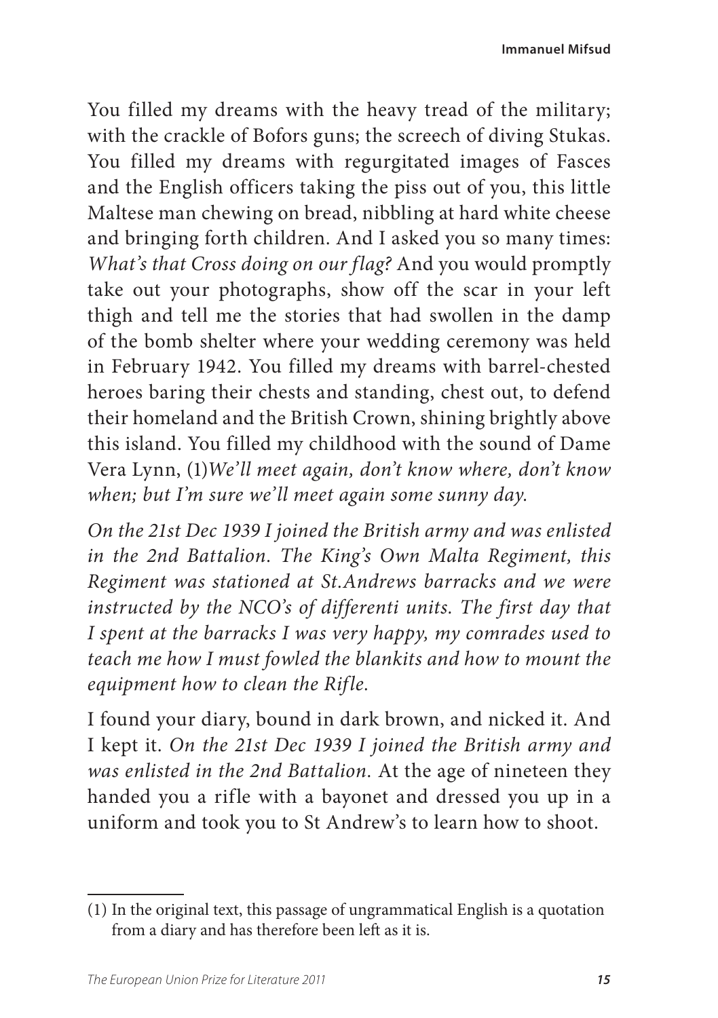You filled my dreams with the heavy tread of the military; with the crackle of Bofors guns; the screech of diving Stukas. You filled my dreams with regurgitated images of Fasces and the English officers taking the piss out of you, this little Maltese man chewing on bread, nibbling at hard white cheese and bringing forth children. And I asked you so many times: *What's that Cross doing on our flag?* And you would promptly take out your photographs, show off the scar in your left thigh and tell me the stories that had swollen in the damp of the bomb shelter where your wedding ceremony was held in February 1942. You filled my dreams with barrel-chested heroes baring their chests and standing, chest out, to defend their homeland and the British Crown, shining brightly above this island. You filled my childhood with the sound of Dame Vera Lynn, (1)*We'll meet again, don't know where, don't know when; but I'm sure we'll meet again some sunny day.*

*On the 21st Dec 1939 I joined the British army and was enlisted in the 2nd Battalion. The King's Own Malta Regiment, this Regiment was stationed at St.Andrews barracks and we were instructed by the NCO's of differenti units. The first day that I spent at the barracks I was very happy, my comrades used to teach me how I must fowled the blankits and how to mount the equipment how to clean the Rifle.*

I found your diary, bound in dark brown, and nicked it. And I kept it. *On the 21st Dec 1939 I joined the British army and was enlisted in the 2nd Battalion.* At the age of nineteen they handed you a rifle with a bayonet and dressed you up in a uniform and took you to St Andrew's to learn how to shoot.

<sup>(1)</sup> In the original text, this passage of ungrammatical English is a quotation from a diary and has therefore been left as it is.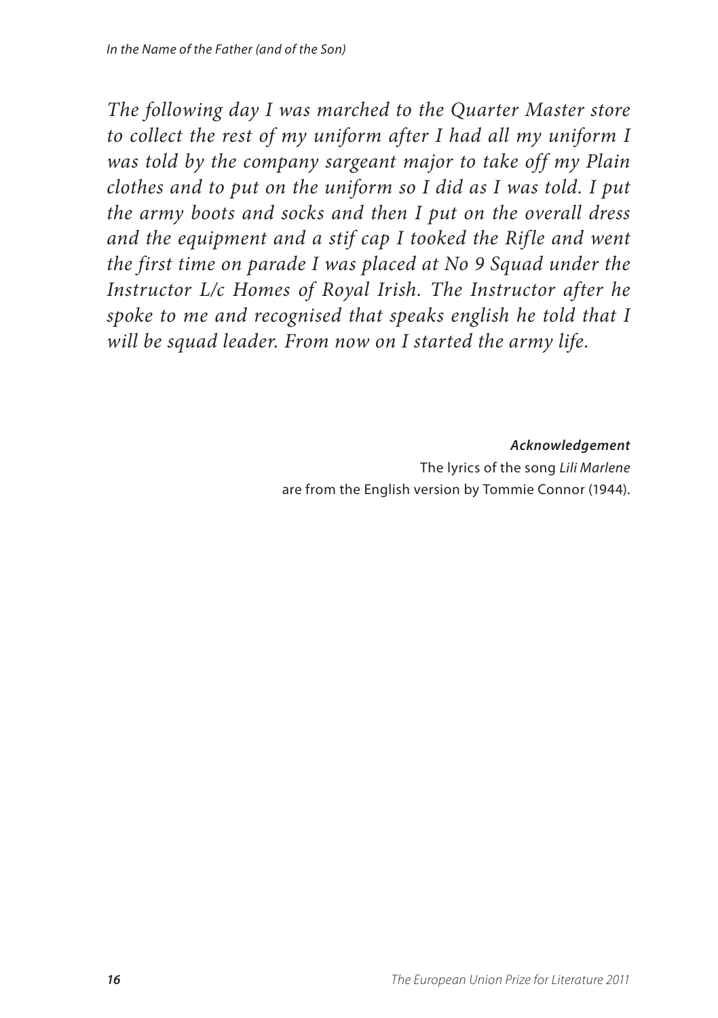*The following day I was marched to the Quarter Master store to collect the rest of my uniform after I had all my uniform I was told by the company sargeant major to take off my Plain clothes and to put on the uniform so I did as I was told. I put the army boots and socks and then I put on the overall dress and the equipment and a stif cap I tooked the Rifle and went the first time on parade I was placed at No 9 Squad under the Instructor L/c Homes of Royal Irish. The Instructor after he spoke to me and recognised that speaks english he told that I will be squad leader. From now on I started the army life.*

> *Acknowledgement* The lyrics of the song *Lili Marlene* are from the English version by Tommie Connor (1944).